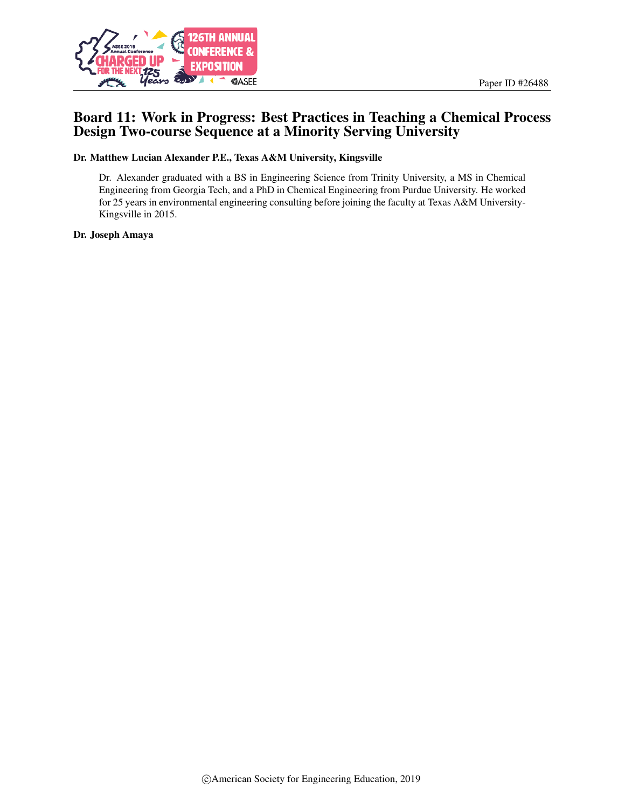



# Board 11: Work in Progress: Best Practices in Teaching a Chemical Process Design Two-course Sequence at a Minority Serving University

Dr. Matthew Lucian Alexander P.E., Texas A&M University, Kingsville

Dr. Alexander graduated with a BS in Engineering Science from Trinity University, a MS in Chemical Engineering from Georgia Tech, and a PhD in Chemical Engineering from Purdue University. He worked for 25 years in environmental engineering consulting before joining the faculty at Texas A&M University-Kingsville in 2015.

Dr. Joseph Amaya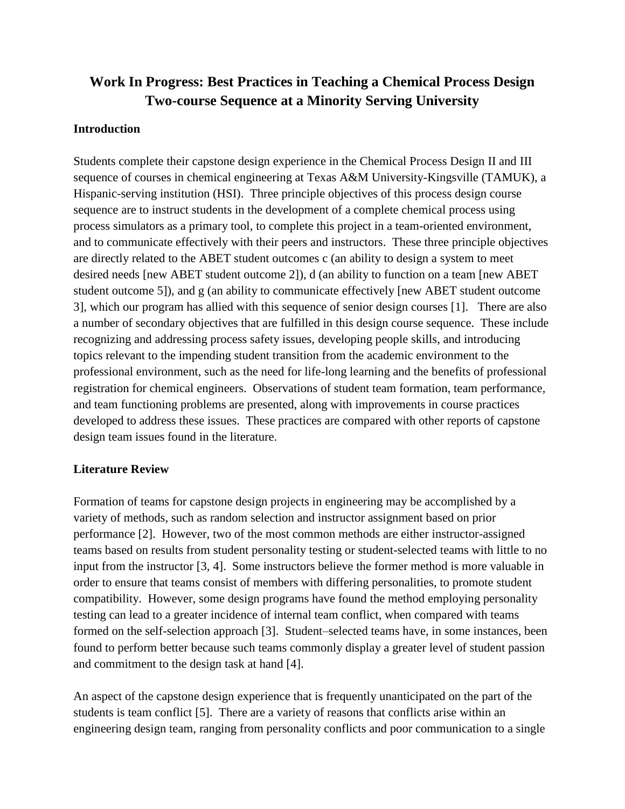# **Work In Progress: Best Practices in Teaching a Chemical Process Design Two-course Sequence at a Minority Serving University**

## **Introduction**

Students complete their capstone design experience in the Chemical Process Design II and III sequence of courses in chemical engineering at Texas A&M University-Kingsville (TAMUK), a Hispanic-serving institution (HSI). Three principle objectives of this process design course sequence are to instruct students in the development of a complete chemical process using process simulators as a primary tool, to complete this project in a team-oriented environment, and to communicate effectively with their peers and instructors. These three principle objectives are directly related to the ABET student outcomes c (an ability to design a system to meet desired needs [new ABET student outcome 2]), d (an ability to function on a team [new ABET student outcome 5]), and g (an ability to communicate effectively [new ABET student outcome 3], which our program has allied with this sequence of senior design courses [1]. There are also a number of secondary objectives that are fulfilled in this design course sequence. These include recognizing and addressing process safety issues, developing people skills, and introducing topics relevant to the impending student transition from the academic environment to the professional environment, such as the need for life-long learning and the benefits of professional registration for chemical engineers. Observations of student team formation, team performance, and team functioning problems are presented, along with improvements in course practices developed to address these issues. These practices are compared with other reports of capstone design team issues found in the literature.

# **Literature Review**

Formation of teams for capstone design projects in engineering may be accomplished by a variety of methods, such as random selection and instructor assignment based on prior performance [2]. However, two of the most common methods are either instructor-assigned teams based on results from student personality testing or student-selected teams with little to no input from the instructor [3, 4]. Some instructors believe the former method is more valuable in order to ensure that teams consist of members with differing personalities, to promote student compatibility. However, some design programs have found the method employing personality testing can lead to a greater incidence of internal team conflict, when compared with teams formed on the self-selection approach [3]. Student–selected teams have, in some instances, been found to perform better because such teams commonly display a greater level of student passion and commitment to the design task at hand [4].

An aspect of the capstone design experience that is frequently unanticipated on the part of the students is team conflict [5]. There are a variety of reasons that conflicts arise within an engineering design team, ranging from personality conflicts and poor communication to a single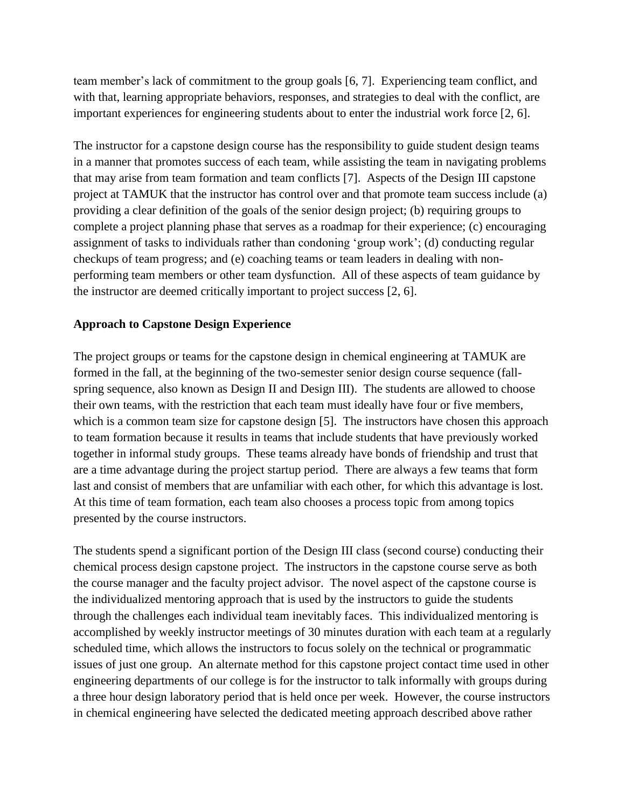team member's lack of commitment to the group goals [6, 7]. Experiencing team conflict, and with that, learning appropriate behaviors, responses, and strategies to deal with the conflict, are important experiences for engineering students about to enter the industrial work force [2, 6].

The instructor for a capstone design course has the responsibility to guide student design teams in a manner that promotes success of each team, while assisting the team in navigating problems that may arise from team formation and team conflicts [7]. Aspects of the Design III capstone project at TAMUK that the instructor has control over and that promote team success include (a) providing a clear definition of the goals of the senior design project; (b) requiring groups to complete a project planning phase that serves as a roadmap for their experience; (c) encouraging assignment of tasks to individuals rather than condoning 'group work'; (d) conducting regular checkups of team progress; and (e) coaching teams or team leaders in dealing with nonperforming team members or other team dysfunction. All of these aspects of team guidance by the instructor are deemed critically important to project success [2, 6].

# **Approach to Capstone Design Experience**

The project groups or teams for the capstone design in chemical engineering at TAMUK are formed in the fall, at the beginning of the two-semester senior design course sequence (fallspring sequence, also known as Design II and Design III). The students are allowed to choose their own teams, with the restriction that each team must ideally have four or five members, which is a common team size for capstone design [5]. The instructors have chosen this approach to team formation because it results in teams that include students that have previously worked together in informal study groups. These teams already have bonds of friendship and trust that are a time advantage during the project startup period. There are always a few teams that form last and consist of members that are unfamiliar with each other, for which this advantage is lost. At this time of team formation, each team also chooses a process topic from among topics presented by the course instructors.

The students spend a significant portion of the Design III class (second course) conducting their chemical process design capstone project. The instructors in the capstone course serve as both the course manager and the faculty project advisor. The novel aspect of the capstone course is the individualized mentoring approach that is used by the instructors to guide the students through the challenges each individual team inevitably faces. This individualized mentoring is accomplished by weekly instructor meetings of 30 minutes duration with each team at a regularly scheduled time, which allows the instructors to focus solely on the technical or programmatic issues of just one group. An alternate method for this capstone project contact time used in other engineering departments of our college is for the instructor to talk informally with groups during a three hour design laboratory period that is held once per week. However, the course instructors in chemical engineering have selected the dedicated meeting approach described above rather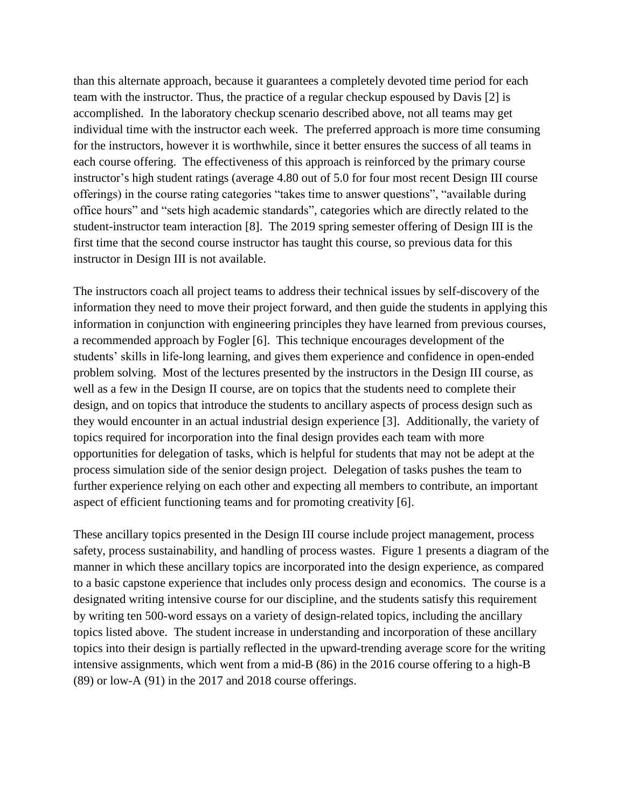than this alternate approach, because it guarantees a completely devoted time period for each team with the instructor. Thus, the practice of a regular checkup espoused by Davis [2] is accomplished. In the laboratory checkup scenario described above, not all teams may get individual time with the instructor each week. The preferred approach is more time consuming for the instructors, however it is worthwhile, since it better ensures the success of all teams in each course offering. The effectiveness of this approach is reinforced by the primary course instructor's high student ratings (average 4.80 out of 5.0 for four most recent Design III course offerings) in the course rating categories "takes time to answer questions", "available during office hours" and "sets high academic standards", categories which are directly related to the student-instructor team interaction [8]. The 2019 spring semester offering of Design III is the first time that the second course instructor has taught this course, so previous data for this instructor in Design III is not available.

The instructors coach all project teams to address their technical issues by self-discovery of the information they need to move their project forward, and then guide the students in applying this information in conjunction with engineering principles they have learned from previous courses, a recommended approach by Fogler [6]. This technique encourages development of the students' skills in life-long learning, and gives them experience and confidence in open-ended problem solving. Most of the lectures presented by the instructors in the Design III course, as well as a few in the Design II course, are on topics that the students need to complete their design, and on topics that introduce the students to ancillary aspects of process design such as they would encounter in an actual industrial design experience [3]. Additionally, the variety of topics required for incorporation into the final design provides each team with more opportunities for delegation of tasks, which is helpful for students that may not be adept at the process simulation side of the senior design project. Delegation of tasks pushes the team to further experience relying on each other and expecting all members to contribute, an important aspect of efficient functioning teams and for promoting creativity [6].

These ancillary topics presented in the Design III course include project management, process safety, process sustainability, and handling of process wastes. Figure 1 presents a diagram of the manner in which these ancillary topics are incorporated into the design experience, as compared to a basic capstone experience that includes only process design and economics. The course is a designated writing intensive course for our discipline, and the students satisfy this requirement by writing ten 500-word essays on a variety of design-related topics, including the ancillary topics listed above. The student increase in understanding and incorporation of these ancillary topics into their design is partially reflected in the upward-trending average score for the writing intensive assignments, which went from a mid-B (86) in the 2016 course offering to a high-B (89) or low-A (91) in the 2017 and 2018 course offerings.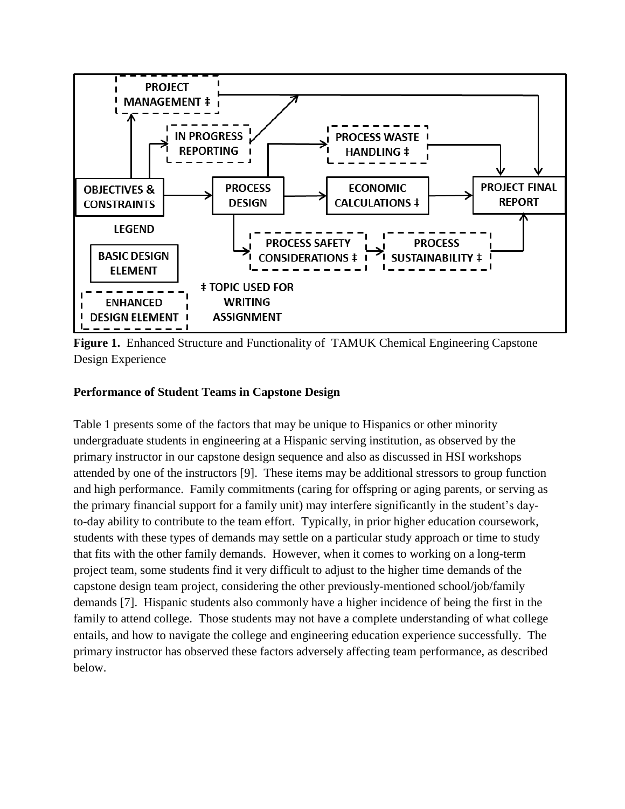

**Figure 1.** Enhanced Structure and Functionality of TAMUK Chemical Engineering Capstone Design Experience

### **Performance of Student Teams in Capstone Design**

Table 1 presents some of the factors that may be unique to Hispanics or other minority undergraduate students in engineering at a Hispanic serving institution, as observed by the primary instructor in our capstone design sequence and also as discussed in HSI workshops attended by one of the instructors [9]. These items may be additional stressors to group function and high performance. Family commitments (caring for offspring or aging parents, or serving as the primary financial support for a family unit) may interfere significantly in the student's dayto-day ability to contribute to the team effort. Typically, in prior higher education coursework, students with these types of demands may settle on a particular study approach or time to study that fits with the other family demands. However, when it comes to working on a long-term project team, some students find it very difficult to adjust to the higher time demands of the capstone design team project, considering the other previously-mentioned school/job/family demands [7]. Hispanic students also commonly have a higher incidence of being the first in the family to attend college. Those students may not have a complete understanding of what college entails, and how to navigate the college and engineering education experience successfully. The primary instructor has observed these factors adversely affecting team performance, as described below.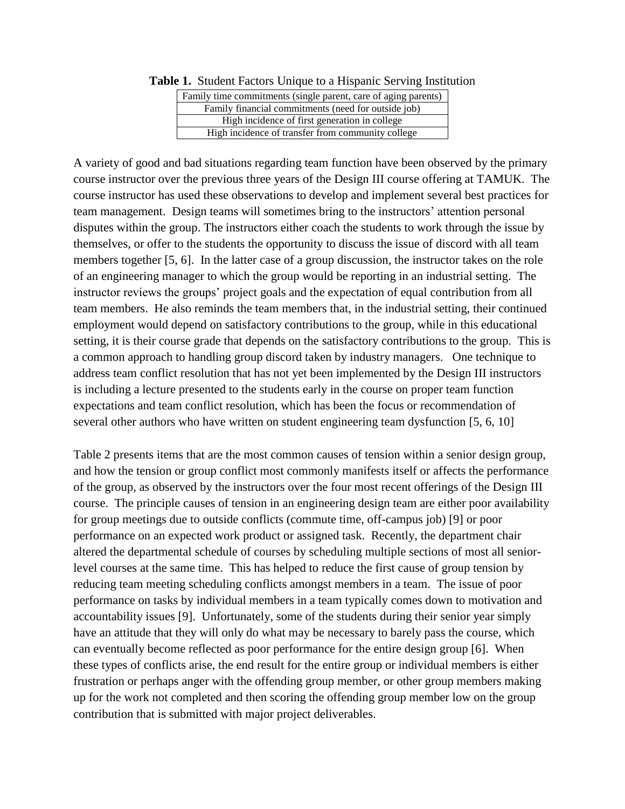| Family time commitments (single parent, care of aging parents) |  |  |
|----------------------------------------------------------------|--|--|
| Family financial commitments (need for outside job)            |  |  |
| High incidence of first generation in college                  |  |  |
| High incidence of transfer from community college              |  |  |

**Table 1.** Student Factors Unique to a Hispanic Serving Institution

A variety of good and bad situations regarding team function have been observed by the primary course instructor over the previous three years of the Design III course offering at TAMUK. The course instructor has used these observations to develop and implement several best practices for team management. Design teams will sometimes bring to the instructors' attention personal disputes within the group. The instructors either coach the students to work through the issue by themselves, or offer to the students the opportunity to discuss the issue of discord with all team members together [5, 6]. In the latter case of a group discussion, the instructor takes on the role of an engineering manager to which the group would be reporting in an industrial setting. The instructor reviews the groups' project goals and the expectation of equal contribution from all team members. He also reminds the team members that, in the industrial setting, their continued employment would depend on satisfactory contributions to the group, while in this educational setting, it is their course grade that depends on the satisfactory contributions to the group. This is a common approach to handling group discord taken by industry managers. One technique to address team conflict resolution that has not yet been implemented by the Design III instructors is including a lecture presented to the students early in the course on proper team function expectations and team conflict resolution, which has been the focus or recommendation of several other authors who have written on student engineering team dysfunction [5, 6, 10]

Table 2 presents items that are the most common causes of tension within a senior design group, and how the tension or group conflict most commonly manifests itself or affects the performance of the group, as observed by the instructors over the four most recent offerings of the Design III course. The principle causes of tension in an engineering design team are either poor availability for group meetings due to outside conflicts (commute time, off-campus job) [9] or poor performance on an expected work product or assigned task. Recently, the department chair altered the departmental schedule of courses by scheduling multiple sections of most all seniorlevel courses at the same time. This has helped to reduce the first cause of group tension by reducing team meeting scheduling conflicts amongst members in a team. The issue of poor performance on tasks by individual members in a team typically comes down to motivation and accountability issues [9]. Unfortunately, some of the students during their senior year simply have an attitude that they will only do what may be necessary to barely pass the course, which can eventually become reflected as poor performance for the entire design group [6]. When these types of conflicts arise, the end result for the entire group or individual members is either frustration or perhaps anger with the offending group member, or other group members making up for the work not completed and then scoring the offending group member low on the group contribution that is submitted with major project deliverables.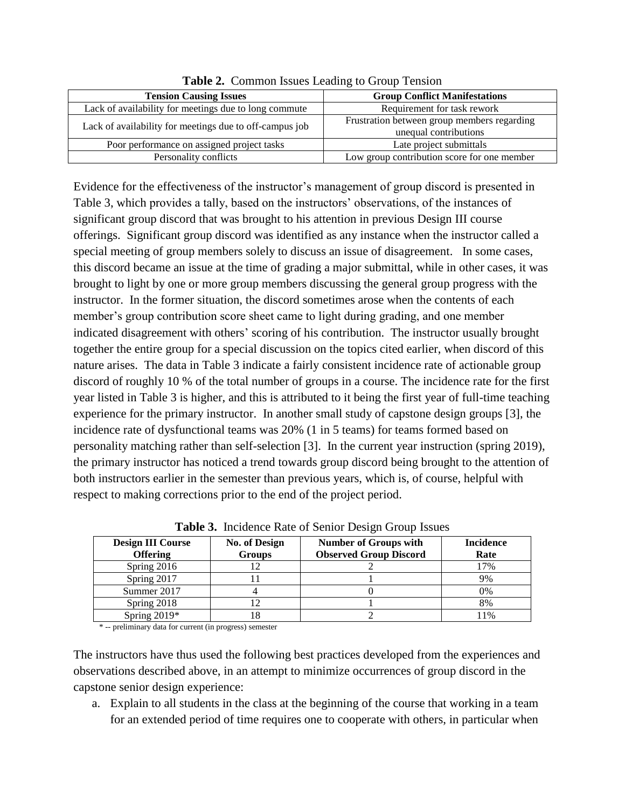| <b>Tension Causing Issues</b>                           | <b>Group Conflict Manifestations</b>                                 |  |
|---------------------------------------------------------|----------------------------------------------------------------------|--|
| Lack of availability for meetings due to long commute   | Requirement for task rework                                          |  |
| Lack of availability for meetings due to off-campus job | Frustration between group members regarding<br>unequal contributions |  |
| Poor performance on assigned project tasks              | Late project submittals                                              |  |
| Personality conflicts                                   | Low group contribution score for one member                          |  |

**Table 2.** Common Issues Leading to Group Tension

Evidence for the effectiveness of the instructor's management of group discord is presented in Table 3, which provides a tally, based on the instructors' observations, of the instances of significant group discord that was brought to his attention in previous Design III course offerings. Significant group discord was identified as any instance when the instructor called a special meeting of group members solely to discuss an issue of disagreement. In some cases, this discord became an issue at the time of grading a major submittal, while in other cases, it was brought to light by one or more group members discussing the general group progress with the instructor. In the former situation, the discord sometimes arose when the contents of each member's group contribution score sheet came to light during grading, and one member indicated disagreement with others' scoring of his contribution. The instructor usually brought together the entire group for a special discussion on the topics cited earlier, when discord of this nature arises. The data in Table 3 indicate a fairly consistent incidence rate of actionable group discord of roughly 10 % of the total number of groups in a course. The incidence rate for the first year listed in Table 3 is higher, and this is attributed to it being the first year of full-time teaching experience for the primary instructor. In another small study of capstone design groups [3], the incidence rate of dysfunctional teams was 20% (1 in 5 teams) for teams formed based on personality matching rather than self-selection [3]. In the current year instruction (spring 2019), the primary instructor has noticed a trend towards group discord being brought to the attention of both instructors earlier in the semester than previous years, which is, of course, helpful with respect to making corrections prior to the end of the project period.

**Design III Course Offering No. of Design Groups Number of Groups with Observed Group Discord Incidence Rate** Spring 2016 12 2 2 17% Spring 2017 11 1 1 1 9% Summer 2017 | 4 | 0 0 | 0% Spring 2018 12 1 1 8% Spring 2019\* 18 18 2 11%

**Table 3.** Incidence Rate of Senior Design Group Issues

\* -- preliminary data for current (in progress) semester

The instructors have thus used the following best practices developed from the experiences and observations described above, in an attempt to minimize occurrences of group discord in the capstone senior design experience:

a. Explain to all students in the class at the beginning of the course that working in a team for an extended period of time requires one to cooperate with others, in particular when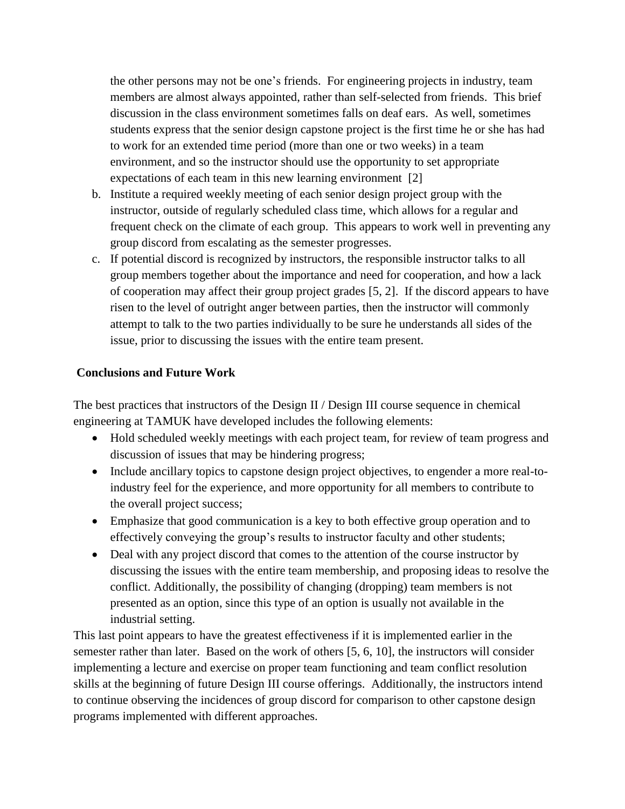the other persons may not be one's friends. For engineering projects in industry, team members are almost always appointed, rather than self-selected from friends. This brief discussion in the class environment sometimes falls on deaf ears. As well, sometimes students express that the senior design capstone project is the first time he or she has had to work for an extended time period (more than one or two weeks) in a team environment, and so the instructor should use the opportunity to set appropriate expectations of each team in this new learning environment [2]

- b. Institute a required weekly meeting of each senior design project group with the instructor, outside of regularly scheduled class time, which allows for a regular and frequent check on the climate of each group. This appears to work well in preventing any group discord from escalating as the semester progresses.
- c. If potential discord is recognized by instructors, the responsible instructor talks to all group members together about the importance and need for cooperation, and how a lack of cooperation may affect their group project grades [5, 2]. If the discord appears to have risen to the level of outright anger between parties, then the instructor will commonly attempt to talk to the two parties individually to be sure he understands all sides of the issue, prior to discussing the issues with the entire team present.

### **Conclusions and Future Work**

The best practices that instructors of the Design II / Design III course sequence in chemical engineering at TAMUK have developed includes the following elements:

- Hold scheduled weekly meetings with each project team, for review of team progress and discussion of issues that may be hindering progress;
- Include ancillary topics to capstone design project objectives, to engender a more real-toindustry feel for the experience, and more opportunity for all members to contribute to the overall project success;
- Emphasize that good communication is a key to both effective group operation and to effectively conveying the group's results to instructor faculty and other students;
- Deal with any project discord that comes to the attention of the course instructor by discussing the issues with the entire team membership, and proposing ideas to resolve the conflict. Additionally, the possibility of changing (dropping) team members is not presented as an option, since this type of an option is usually not available in the industrial setting.

This last point appears to have the greatest effectiveness if it is implemented earlier in the semester rather than later. Based on the work of others [5, 6, 10], the instructors will consider implementing a lecture and exercise on proper team functioning and team conflict resolution skills at the beginning of future Design III course offerings. Additionally, the instructors intend to continue observing the incidences of group discord for comparison to other capstone design programs implemented with different approaches.